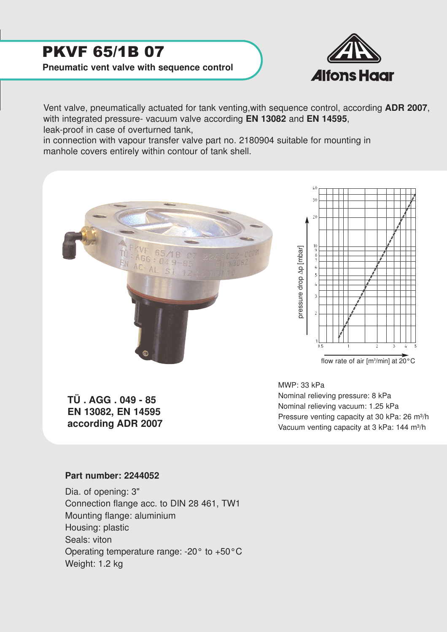## PKVF 65/1B 07

**Pneumatic vent valve with sequence control**



Vent valve, pneumatically actuated for tank venting,with sequence control, according **ADR 2007**, with integrated pressure- vacuum valve according **EN 13082** and **EN 14595**, leak-proof in case of overturned tank,

in connection with vapour transfer valve part no. 2180904 suitable for mounting in manhole covers entirely within contour of tank shell.





**TÜ . AGG . 049 - 85 EN 13082, EN 14595 according ADR 2007** MWP: 33 kPa Nominal relieving pressure: 8 kPa Nominal relieving vacuum: 1.25 kPa Pressure venting capacity at 30 kPa: 26 m<sup>3</sup>/h Vacuum venting capacity at 3 kPa: 144 m<sup>3</sup>/h

## **Part number: 2244052**

Dia. of opening: 3" Connection flange acc. to DIN 28 461, TW1 Mounting flange: aluminium Housing: plastic Seals: viton Operating temperature range: -20° to +50°C Weight: 1.2 kg